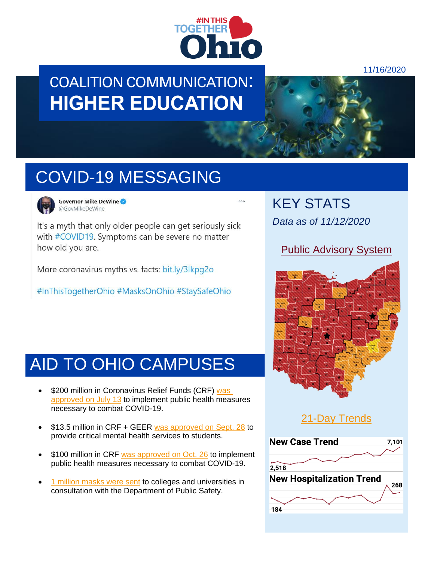

### COALITION COMMUNICATION: **HIGHER EDUCATION**



# COVID-19 MESSAGING



Governor Mike DeWine @GovMikeDeWine

It's a myth that only older people can get seriously sick with #COVID19. Symptoms can be severe no matter how old you are.

More coronavirus myths vs. facts: bit.ly/3lkpq2o

#InThisTogetherOhio #MasksOnOhio #StaySafeOhio

### AID TO OHIO CAMPUSES

- \$200 million in Coronavirus Relief Funds (CRF) was [approved on July 13](https://www.daytondailynews.com/news/local-colleges-to-receive-millions-in-federal-covid-aid/) to implement public health measures necessary to combat COVID-19.
- \$13.5 million in CRF + GEER [was approved on Sept. 28](https://www.nbc4i.com/news/local-news/ohio-receiving-nearly-325-million-in-funds-for-covid-19-relief/) to provide critical mental health services to students.
- \$100 million in CRF [was approved on Oct. 26](https://www.cleveland.com/open/2020/10/ohio-awards-426-million-for-businesses-universities-hospitals-and-others-in-latest-round-of-coronavirus-relief.html) to implement public health measures necessary to combat COVID-19.
- [1 million masks were sent](https://www.wfmj.com/story/42577626/ohio-to-receive-9-million-masks-from-fema) to colleges and universities in consultation with the Department of Public Safety.

KEY STATS *Data as of 11/12/2020*

### [Public Advisory System](https://coronavirus.ohio.gov/wps/portal/gov/covid-19/public-health-advisory-system)





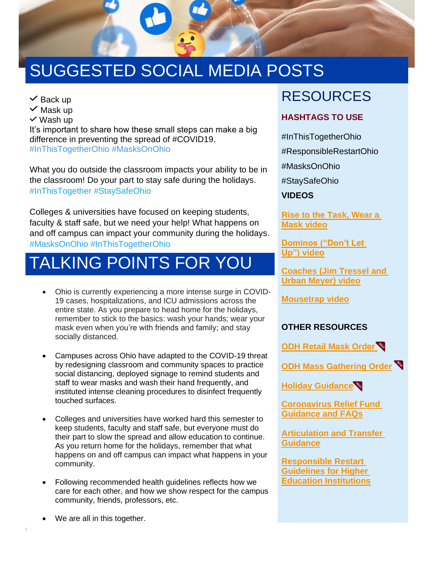

# SUGGESTED SOCIAL MEDIA POSTS

 $\vee$  Back up

 $\vee$  Mask up

 $\vee$  Wash up

It's important to share how these small steps can make a big difference in preventing the spread of #COVID19. #InThisTogetherOhio #MasksOnOhio

What you do outside the classroom impacts your ability to be in the classroom! Do your part to stay safe during the holidays. #InThisTogether #StaySafeOhio

Colleges & universities have focused on keeping students, faculty & staff safe, but we need your help! What happens on and off campus can impact your community during the holidays. #MasksOnOhio #InThisTogetherOhio

# TALKING POINTS FOR YOU

- Ohio is currently experiencing a more intense surge in COVID-19 cases, hospitalizations, and ICU admissions across the entire state. As you prepare to head home for the holidays, remember to stick to the basics: wash your hands; wear your mask even when you're with friends and family; and stay socially distanced.
- Campuses across Ohio have adapted to the COVID-19 threat by redesigning classroom and community spaces to practice social distancing, deployed signage to remind students and staff to wear masks and wash their hand frequently, and instituted intense cleaning procedures to disinfect frequently touched surfaces.
- Colleges and universities have worked hard this semester to keep students, faculty and staff safe, but everyone must do their part to slow the spread and allow education to continue. As you return home for the holidays, remember that what happens on and off campus can impact what happens in your community.
- Following recommended health guidelines reflects how we care for each other, and how we show respect for the campus community, friends, professors, etc.

### RESOURCES

#### **HASHTAGS TO USE**

#InThisTogetherOhio

#ResponsibleRestartOhio

#MasksOnOhio

#StaySafeOhio

**VIDEOS**

**[Rise to the Task, Wear a](https://www.youtube.com/watch?v=07-nS5HmV9I&feature=emb_title)  [Mask](https://www.youtube.com/watch?v=07-nS5HmV9I&feature=emb_title) video**

**Dominos ("Don't Let [Up"\)](https://youtu.be/cf5ZJ3lwvS8) video**

**[Coaches \(Jim](https://youtu.be/tMAMzt-mP1A) Tressel and [Urban Meyer\)](https://youtu.be/tMAMzt-mP1A) video**

**Mousetrap video**

#### **OTHER RESOURCES**

**[ODH Retail Mask Order](https://coronavirus.ohio.gov/static/publicorders/retail-and-business-compliance-facial-coverings-all-ohio.pdf)** 

**ODH Mass [Gathering Order](https://coronavirus.ohio.gov/static/publicorders/limit-prohibit-mass-gatherings-ohio-rev-order.pdf)**

**[Holiday Guidance](https://coronavirus.ohio.gov/wps/portal/gov/covid-19/families-and-individuals/resources-for-parents-and-families/holiday-celebrations)**

**[Coronavirus Relief Fund](https://www.ohiohighered.org/sites/default/files/uploads/rfp/ODHE%20CRF%20for%20Higher%20Ed%20Guidance%20FAQ%20%28updated%2010-26-20%29.pdf)  [Guidance and FAQs](https://www.ohiohighered.org/sites/default/files/uploads/rfp/ODHE%20CRF%20for%20Higher%20Ed%20Guidance%20FAQ%20%28updated%2010-26-20%29.pdf)**

**[Articulation and Transfer](https://www.ohiohighered.org/transfer/covid-19-updates)  [Guidance](https://www.ohiohighered.org/transfer/covid-19-updates)**

**[Responsible Restart](https://coronavirus.ohio.gov/static/responsible/Higher-Education.pdf)  [Guidelines for Higher](https://coronavirus.ohio.gov/static/responsible/Higher-Education.pdf)  [Education Institutions](https://coronavirus.ohio.gov/static/responsible/Higher-Education.pdf)**

We are all in this together.

\